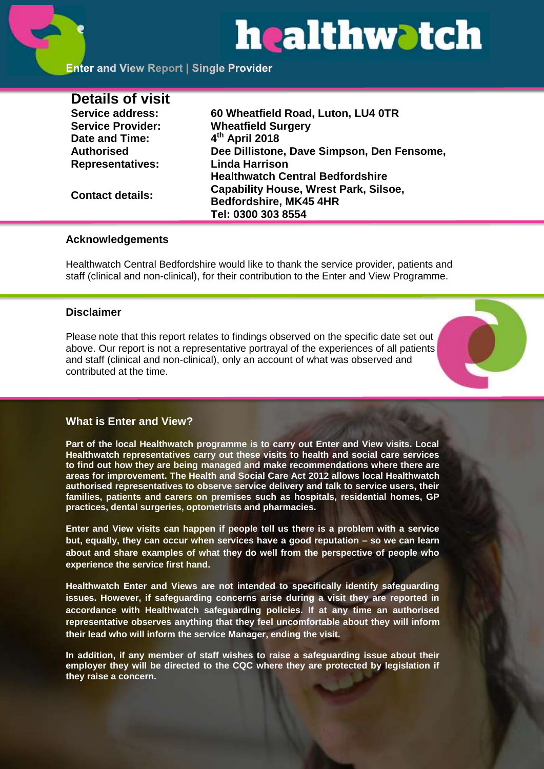# healthwatch

### **Enter and View Report | Single Provider**

| <b>Details of visit</b>  |                                              |
|--------------------------|----------------------------------------------|
| <b>Service address:</b>  | 60 Wheatfield Road, Luton, LU4 0TR           |
| <b>Service Provider:</b> | <b>Wheatfield Surgery</b>                    |
| Date and Time:           | 4th April 2018                               |
| <b>Authorised</b>        | Dee Dillistone, Dave Simpson, Den Fensome,   |
| <b>Representatives:</b>  | <b>Linda Harrison</b>                        |
|                          | <b>Healthwatch Central Bedfordshire</b>      |
| <b>Contact details:</b>  | <b>Capability House, Wrest Park, Silsoe,</b> |
|                          | Bedfordshire, MK45 4HR                       |
|                          | Tel: 0300 303 8554                           |

#### **Acknowledgements**

Healthwatch Central Bedfordshire would like to thank the service provider, patients and staff (clinical and non-clinical), for their contribution to the Enter and View Programme.

#### **Disclaimer**

Please note that this report relates to findings observed on the specific date set out above. Our report is not a representative portrayal of the experiences of all patients and staff (clinical and non-clinical), only an account of what was observed and contributed at the time.



#### **What is Enter and View?**

**Part of the local Healthwatch programme is to carry out Enter and View visits. Local Healthwatch representatives carry out these visits to health and social care services to find out how they are being managed and make recommendations where there are areas for improvement. The Health and Social Care Act 2012 allows local Healthwatch authorised representatives to observe service delivery and talk to service users, their families, patients and carers on premises such as hospitals, residential homes, GP practices, dental surgeries, optometrists and pharmacies.** 

**Enter and View visits can happen if people tell us there is a problem with a service but, equally, they can occur when services have a good reputation – so we can learn about and share examples of what they do well from the perspective of people who experience the service first hand.**

**Healthwatch Enter and Views are not intended to specifically identify safeguarding issues. However, if safeguarding concerns arise during a visit they are reported in accordance with Healthwatch safeguarding policies. If at any time an authorised representative observes anything that they feel uncomfortable about they will inform their lead who will inform the service Manager, ending the visit.** 

**In addition, if any member of staff wishes to raise a safeguarding issue about their employer they will be directed to the CQC where they are protected by legislation if they raise a concern.**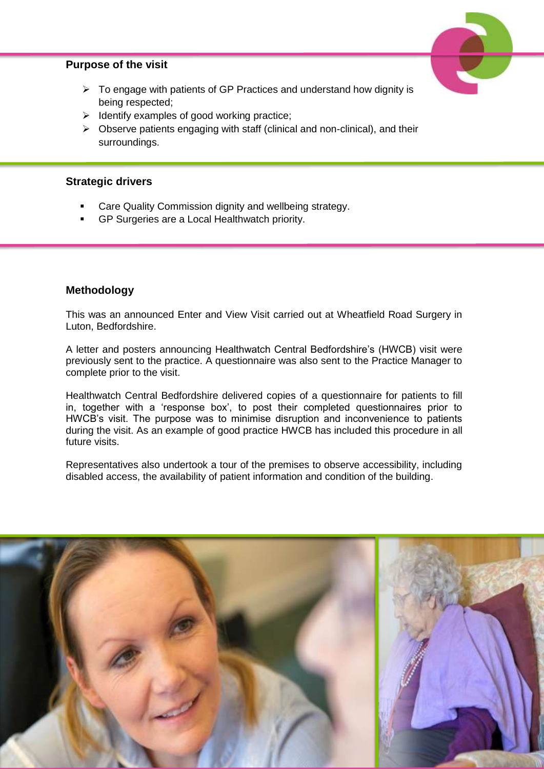#### **Purpose of the visit**



- $\triangleright$  To engage with patients of GP Practices and understand how dignity is being respected;
- $\triangleright$  Identify examples of good working practice;
- $\triangleright$  Observe patients engaging with staff (clinical and non-clinical), and their surroundings.

#### **Strategic drivers**

- Care Quality Commission dignity and wellbeing strategy.
- GP Surgeries are a Local Healthwatch priority.

#### **Methodology**

This was an announced Enter and View Visit carried out at Wheatfield Road Surgery in Luton, Bedfordshire.

A letter and posters announcing Healthwatch Central Bedfordshire's (HWCB) visit were previously sent to the practice. A questionnaire was also sent to the Practice Manager to complete prior to the visit.

Healthwatch Central Bedfordshire delivered copies of a questionnaire for patients to fill in, together with a 'response box', to post their completed questionnaires prior to HWCB's visit. The purpose was to minimise disruption and inconvenience to patients during the visit. As an example of good practice HWCB has included this procedure in all future visits.

Representatives also undertook a tour of the premises to observe accessibility, including disabled access, the availability of patient information and condition of the building.

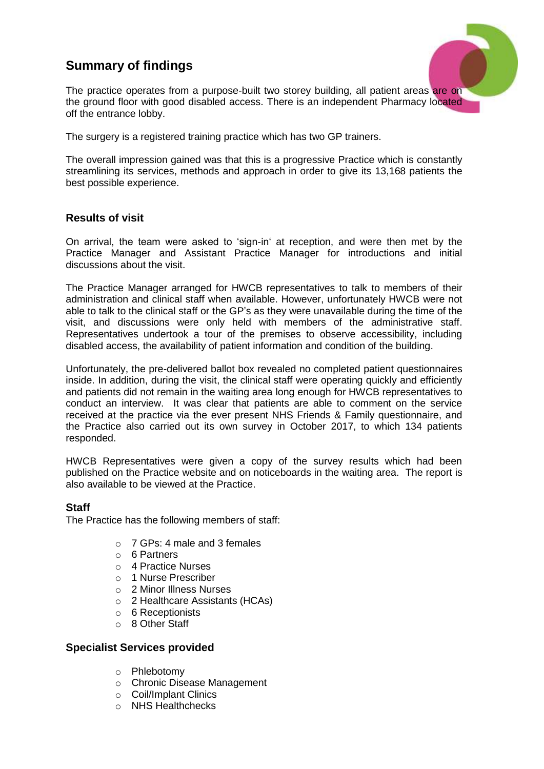## **Summary of findings**



The practice operates from a purpose-built two storey building, all patient areas are on the ground floor with good disabled access. There is an independent Pharmacy located off the entrance lobby.

The surgery is a registered training practice which has two GP trainers.

The overall impression gained was that this is a progressive Practice which is constantly streamlining its services, methods and approach in order to give its 13,168 patients the best possible experience.

#### **Results of visit**

On arrival, the team were asked to 'sign-in' at reception, and were then met by the Practice Manager and Assistant Practice Manager for introductions and initial discussions about the visit.

The Practice Manager arranged for HWCB representatives to talk to members of their administration and clinical staff when available. However, unfortunately HWCB were not able to talk to the clinical staff or the GP's as they were unavailable during the time of the visit, and discussions were only held with members of the administrative staff. Representatives undertook a tour of the premises to observe accessibility, including disabled access, the availability of patient information and condition of the building.

Unfortunately, the pre-delivered ballot box revealed no completed patient questionnaires inside. In addition, during the visit, the clinical staff were operating quickly and efficiently and patients did not remain in the waiting area long enough for HWCB representatives to conduct an interview. It was clear that patients are able to comment on the service received at the practice via the ever present NHS Friends & Family questionnaire, and the Practice also carried out its own survey in October 2017, to which 134 patients responded.

HWCB Representatives were given a copy of the survey results which had been published on the Practice website and on noticeboards in the waiting area. The report is also available to be viewed at the Practice.

#### **Staff**

The Practice has the following members of staff:

- o 7 GPs: 4 male and 3 females
- o 6 Partners
- o 4 Practice Nurses
- o 1 Nurse Prescriber
- o 2 Minor Illness Nurses
- o 2 Healthcare Assistants (HCAs)
- o 6 Receptionists
- o 8 Other Staff

#### **Specialist Services provided**

- o Phlebotomy
- o Chronic Disease Management
- o Coil/Implant Clinics
- o NHS Healthchecks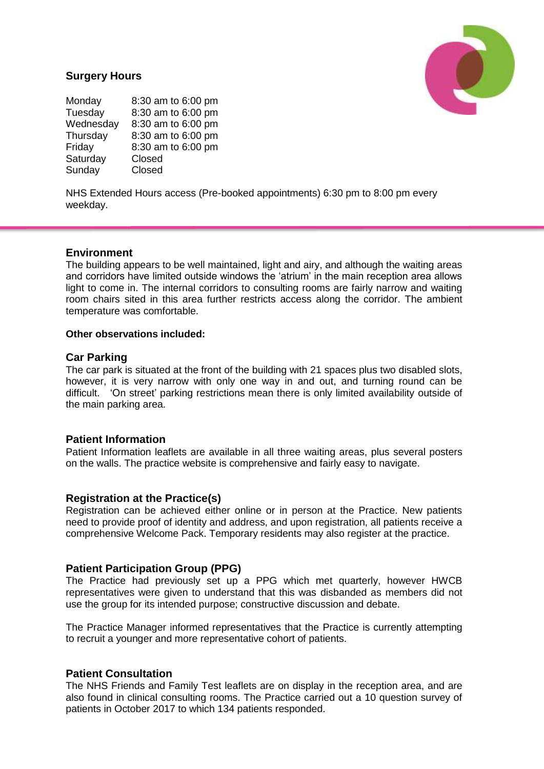#### **Surgery Hours**

Monday 8:30 am to 6:00 pm Tuesday 8:30 am to 6:00 pm<br>Wednesday 8:30 am to 6:00 pm 8:30 am to 6:00 pm Thursday 8:30 am to 6:00 pm Friday 8:30 am to 6:00 pm Saturday Closed Sunday Closed

NHS Extended Hours access (Pre-booked appointments) 6:30 pm to 8:00 pm every weekday.

#### **Environment**

The building appears to be well maintained, light and airy, and although the waiting areas and corridors have limited outside windows the 'atrium' in the main reception area allows light to come in. The internal corridors to consulting rooms are fairly narrow and waiting room chairs sited in this area further restricts access along the corridor. The ambient temperature was comfortable.

#### **Other observations included:**

#### **Car Parking**

The car park is situated at the front of the building with 21 spaces plus two disabled slots, however, it is very narrow with only one way in and out, and turning round can be difficult. 'On street' parking restrictions mean there is only limited availability outside of the main parking area.

#### **Patient Information**

Patient Information leaflets are available in all three waiting areas, plus several posters on the walls. The practice website is comprehensive and fairly easy to navigate.

#### **Registration at the Practice(s)**

Registration can be achieved either online or in person at the Practice. New patients need to provide proof of identity and address, and upon registration, all patients receive a comprehensive Welcome Pack. Temporary residents may also register at the practice.

#### **Patient Participation Group (PPG)**

The Practice had previously set up a PPG which met quarterly, however HWCB representatives were given to understand that this was disbanded as members did not use the group for its intended purpose; constructive discussion and debate.

The Practice Manager informed representatives that the Practice is currently attempting to recruit a younger and more representative cohort of patients.

#### **Patient Consultation**

The NHS Friends and Family Test leaflets are on display in the reception area, and are also found in clinical consulting rooms. The Practice carried out a 10 question survey of patients in October 2017 to which 134 patients responded.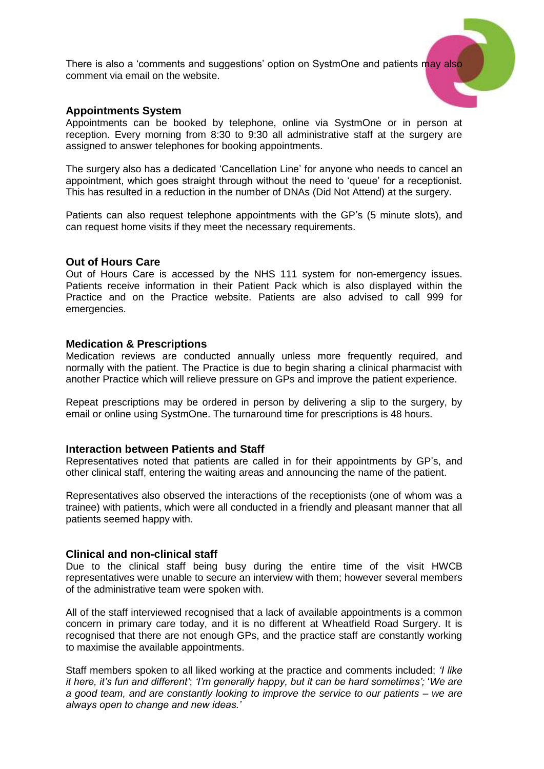There is also a 'comments and suggestions' option on SystmOne and patients may also comment via email on the website.

#### **Appointments System**

Appointments can be booked by telephone, online via SystmOne or in person at reception. Every morning from 8:30 to 9:30 all administrative staff at the surgery are assigned to answer telephones for booking appointments.

The surgery also has a dedicated 'Cancellation Line' for anyone who needs to cancel an appointment, which goes straight through without the need to 'queue' for a receptionist. This has resulted in a reduction in the number of DNAs (Did Not Attend) at the surgery.

Patients can also request telephone appointments with the GP's (5 minute slots), and can request home visits if they meet the necessary requirements.

#### **Out of Hours Care**

Out of Hours Care is accessed by the NHS 111 system for non-emergency issues. Patients receive information in their Patient Pack which is also displayed within the Practice and on the Practice website. Patients are also advised to call 999 for emergencies.

#### **Medication & Prescriptions**

Medication reviews are conducted annually unless more frequently required, and normally with the patient. The Practice is due to begin sharing a clinical pharmacist with another Practice which will relieve pressure on GPs and improve the patient experience.

Repeat prescriptions may be ordered in person by delivering a slip to the surgery, by email or online using SystmOne. The turnaround time for prescriptions is 48 hours.

#### **Interaction between Patients and Staff**

Representatives noted that patients are called in for their appointments by GP's, and other clinical staff, entering the waiting areas and announcing the name of the patient.

Representatives also observed the interactions of the receptionists (one of whom was a trainee) with patients, which were all conducted in a friendly and pleasant manner that all patients seemed happy with.

#### **Clinical and non-clinical staff**

Due to the clinical staff being busy during the entire time of the visit HWCB representatives were unable to secure an interview with them; however several members of the administrative team were spoken with.

All of the staff interviewed recognised that a lack of available appointments is a common concern in primary care today, and it is no different at Wheatfield Road Surgery. It is recognised that there are not enough GPs, and the practice staff are constantly working to maximise the available appointments.

Staff members spoken to all liked working at the practice and comments included; *'I like it here, it's fun and different'*; *'I'm generally happy, but it can be hard sometimes';* '*We are a good team, and are constantly looking to improve the service to our patients – we are always open to change and new ideas.'*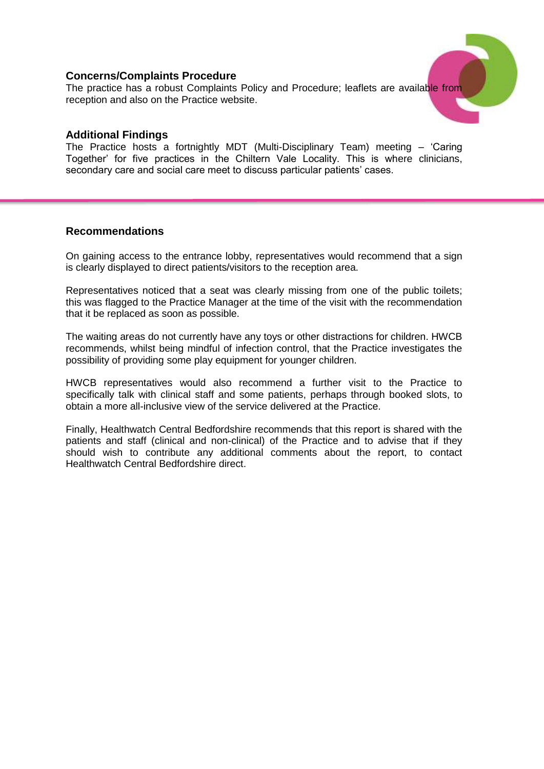#### **Concerns/Complaints Procedure**

The practice has a robust Complaints Policy and Procedure; leaflets are available from reception and also on the Practice website.

#### **Additional Findings**

The Practice hosts a fortnightly MDT (Multi-Disciplinary Team) meeting – 'Caring Together' for five practices in the Chiltern Vale Locality. This is where clinicians, secondary care and social care meet to discuss particular patients' cases.

#### **Recommendations**

On gaining access to the entrance lobby, representatives would recommend that a sign is clearly displayed to direct patients/visitors to the reception area.

Representatives noticed that a seat was clearly missing from one of the public toilets; this was flagged to the Practice Manager at the time of the visit with the recommendation that it be replaced as soon as possible.

The waiting areas do not currently have any toys or other distractions for children. HWCB recommends, whilst being mindful of infection control, that the Practice investigates the possibility of providing some play equipment for younger children.

HWCB representatives would also recommend a further visit to the Practice to specifically talk with clinical staff and some patients, perhaps through booked slots, to obtain a more all-inclusive view of the service delivered at the Practice.

Finally, Healthwatch Central Bedfordshire recommends that this report is shared with the patients and staff (clinical and non-clinical) of the Practice and to advise that if they should wish to contribute any additional comments about the report, to contact Healthwatch Central Bedfordshire direct.